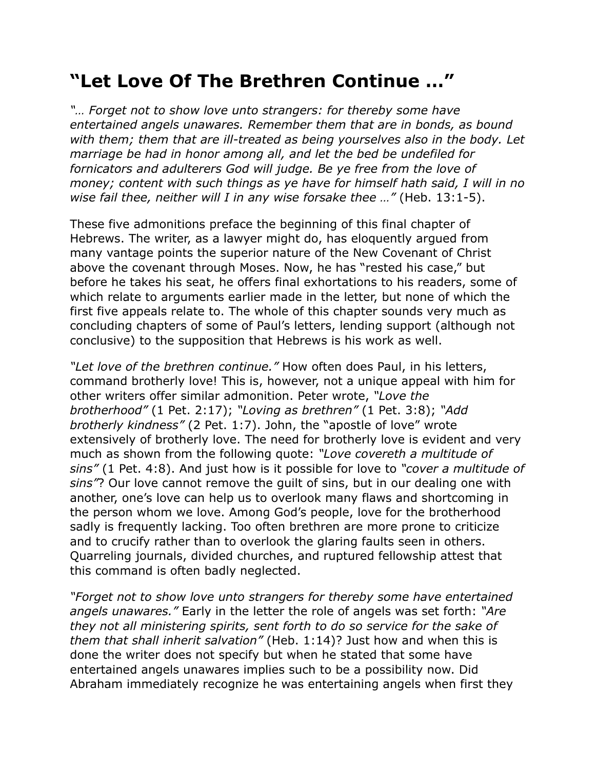## **"Let Love Of The Brethren Continue …"**

*"… Forget not to show love unto strangers: for thereby some have entertained angels unawares. Remember them that are in bonds, as bound with them; them that are ill-treated as being yourselves also in the body. Let marriage be had in honor among all, and let the bed be undefiled for fornicators and adulterers God will judge. Be ye free from the love of money; content with such things as ye have for himself hath said, I will in no wise fail thee, neither will I in any wise forsake thee …"* (Heb. 13:1-5).

These five admonitions preface the beginning of this final chapter of Hebrews. The writer, as a lawyer might do, has eloquently argued from many vantage points the superior nature of the New Covenant of Christ above the covenant through Moses. Now, he has "rested his case," but before he takes his seat, he offers final exhortations to his readers, some of which relate to arguments earlier made in the letter, but none of which the first five appeals relate to. The whole of this chapter sounds very much as concluding chapters of some of Paul's letters, lending support (although not conclusive) to the supposition that Hebrews is his work as well.

*"Let love of the brethren continue."* How often does Paul, in his letters, command brotherly love! This is, however, not a unique appeal with him for other writers offer similar admonition. Peter wrote, *"Love the brotherhood"* (1 Pet. 2:17); *"Loving as brethren"* (1 Pet. 3:8); *"Add brotherly kindness"* (2 Pet. 1:7). John, the "apostle of love" wrote extensively of brotherly love. The need for brotherly love is evident and very much as shown from the following quote: *"Love covereth a multitude of sins"* (1 Pet. 4:8). And just how is it possible for love to *"cover a multitude of sins"*? Our love cannot remove the guilt of sins, but in our dealing one with another, one's love can help us to overlook many flaws and shortcoming in the person whom we love. Among God's people, love for the brotherhood sadly is frequently lacking. Too often brethren are more prone to criticize and to crucify rather than to overlook the glaring faults seen in others. Quarreling journals, divided churches, and ruptured fellowship attest that this command is often badly neglected.

*"Forget not to show love unto strangers for thereby some have entertained angels unawares."* Early in the letter the role of angels was set forth: *"Are they not all ministering spirits, sent forth to do so service for the sake of them that shall inherit salvation"* (Heb. 1:14)? Just how and when this is done the writer does not specify but when he stated that some have entertained angels unawares implies such to be a possibility now. Did Abraham immediately recognize he was entertaining angels when first they